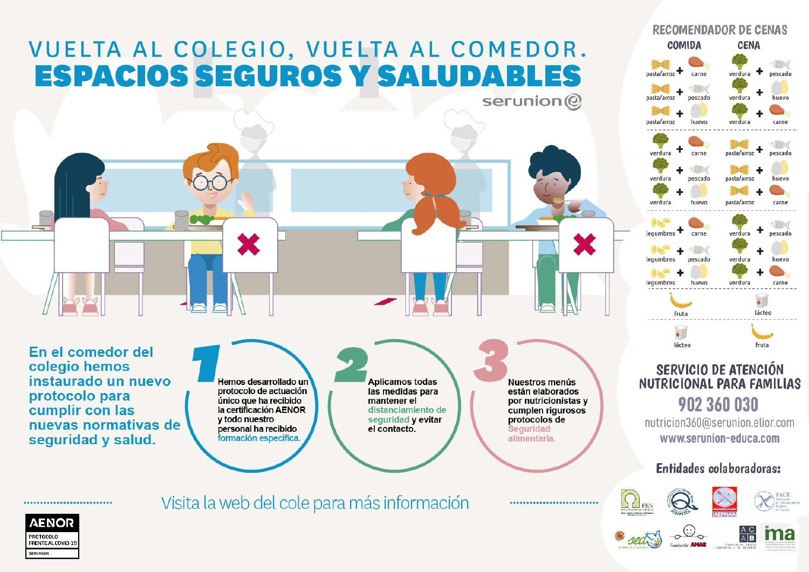